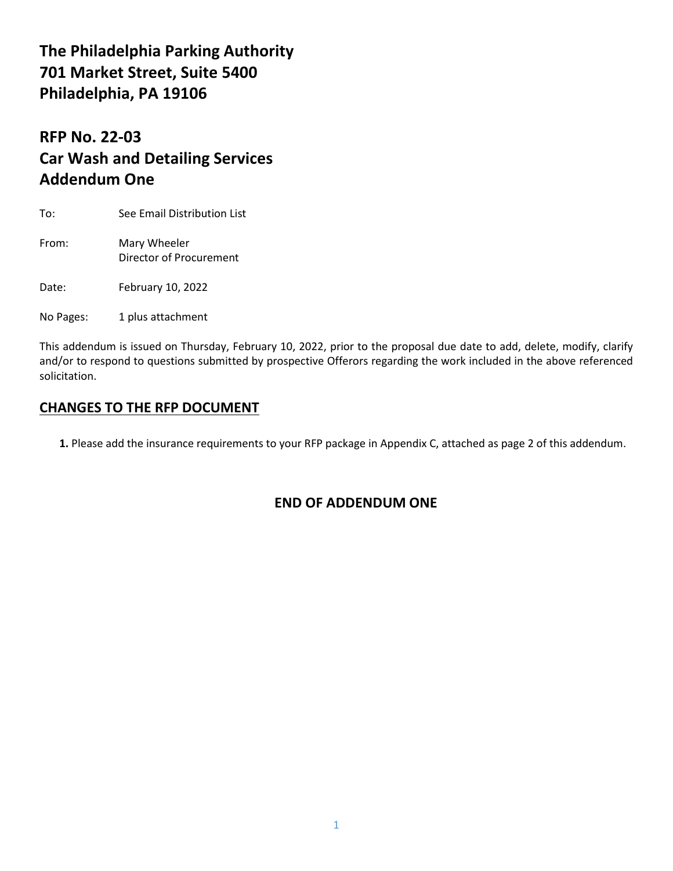# **The Philadelphia Parking Authority 701 Market Street, Suite 5400 Philadelphia, PA 19106**

# **RFP No. 22-03 Car Wash and Detailing Services Addendum One**

To: See Email Distribution List

From: Mary Wheeler Director of Procurement

Date: February 10, 2022

No Pages: 1 plus attachment

This addendum is issued on Thursday, February 10, 2022, prior to the proposal due date to add, delete, modify, clarify and/or to respond to questions submitted by prospective Offerors regarding the work included in the above referenced solicitation.

## **CHANGES TO THE RFP DOCUMENT**

**1.** Please add the insurance requirements to your RFP package in Appendix C, attached as page 2 of this addendum.

## **END OF ADDENDUM ONE**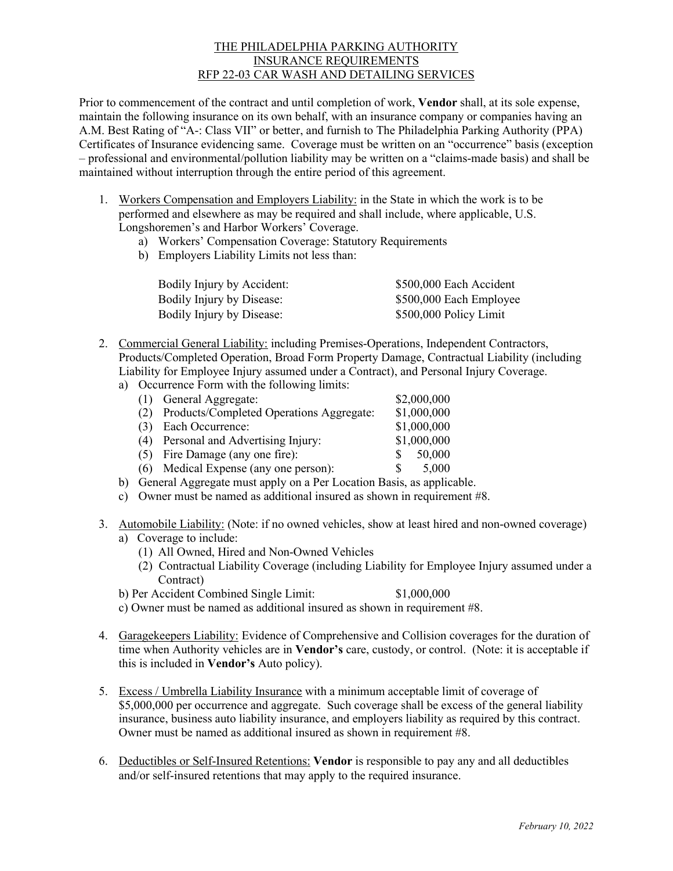### THE PHILADELPHIA PARKING AUTHORITY INSURANCE REQUIREMENTS RFP 22-03 CAR WASH AND DETAILING SERVICES

Prior to commencement of the contract and until completion of work, **Vendor** shall, at its sole expense, maintain the following insurance on its own behalf, with an insurance company or companies having an A.M. Best Rating of "A-: Class VII" or better, and furnish to The Philadelphia Parking Authority (PPA) Certificates of Insurance evidencing same. Coverage must be written on an "occurrence" basis (exception – professional and environmental/pollution liability may be written on a "claims-made basis) and shall be maintained without interruption through the entire period of this agreement.

- 1. Workers Compensation and Employers Liability: in the State in which the work is to be performed and elsewhere as may be required and shall include, where applicable, U.S. Longshoremen's and Harbor Workers' Coverage.
	- a) Workers' Compensation Coverage: Statutory Requirements
	- b) Employers Liability Limits not less than:

| Bodily Injury by Accident: | \$500,000 Each Accident |
|----------------------------|-------------------------|
| Bodily Injury by Disease:  | \$500,000 Each Employee |
| Bodily Injury by Disease:  | \$500,000 Policy Limit  |

- 2. Commercial General Liability: including Premises-Operations, Independent Contractors, Products/Completed Operation, Broad Form Property Damage, Contractual Liability (including Liability for Employee Injury assumed under a Contract), and Personal Injury Coverage.
	- a) Occurrence Form with the following limits:

| (1) General Aggregate:                                                                                                                                                                                                                                                                         | \$2,000,000 |
|------------------------------------------------------------------------------------------------------------------------------------------------------------------------------------------------------------------------------------------------------------------------------------------------|-------------|
| (2) Products/Completed Operations Aggregate:                                                                                                                                                                                                                                                   | \$1,000,000 |
| (3) Each Occurrence:                                                                                                                                                                                                                                                                           | \$1,000,000 |
| (4) Personal and Advertising Injury:                                                                                                                                                                                                                                                           | \$1,000,000 |
| (5) Fire Damage (any one fire):                                                                                                                                                                                                                                                                | 50,000      |
| (6) Medical Expense (any one person):                                                                                                                                                                                                                                                          | 5,000       |
| $\Omega$ . $\Omega$ and $\Lambda$ is a set of the set of solution $\mathbf{D}$ and $\mathbf{D}$ and $\mathbf{D}$ and $\mathbf{D}$ and $\mathbf{D}$ and $\mathbf{D}$ and $\mathbf{D}$ and $\mathbf{D}$ and $\mathbf{D}$ and $\mathbf{D}$ and $\mathbf{D}$ and $\mathbf{D}$ and $\mathbf{D}$ and |             |

- b) General Aggregate must apply on a Per Location Basis, as applicable.
- c) Owner must be named as additional insured as shown in requirement #8.
- 3. Automobile Liability: (Note: if no owned vehicles, show at least hired and non-owned coverage) a) Coverage to include:
	- (1) All Owned, Hired and Non-Owned Vehicles
	- (2) Contractual Liability Coverage (including Liability for Employee Injury assumed under a Contract)
	- b) Per Accident Combined Single Limit: \$1,000,000
	- c) Owner must be named as additional insured as shown in requirement #8.
- 4. Garagekeepers Liability: Evidence of Comprehensive and Collision coverages for the duration of time when Authority vehicles are in **Vendor's** care, custody, or control. (Note: it is acceptable if this is included in **Vendor's** Auto policy).
- 5. Excess / Umbrella Liability Insurance with a minimum acceptable limit of coverage of \$5,000,000 per occurrence and aggregate. Such coverage shall be excess of the general liability insurance, business auto liability insurance, and employers liability as required by this contract. Owner must be named as additional insured as shown in requirement #8.
- 6. Deductibles or Self-Insured Retentions: **Vendor** is responsible to pay any and all deductibles and/or self-insured retentions that may apply to the required insurance.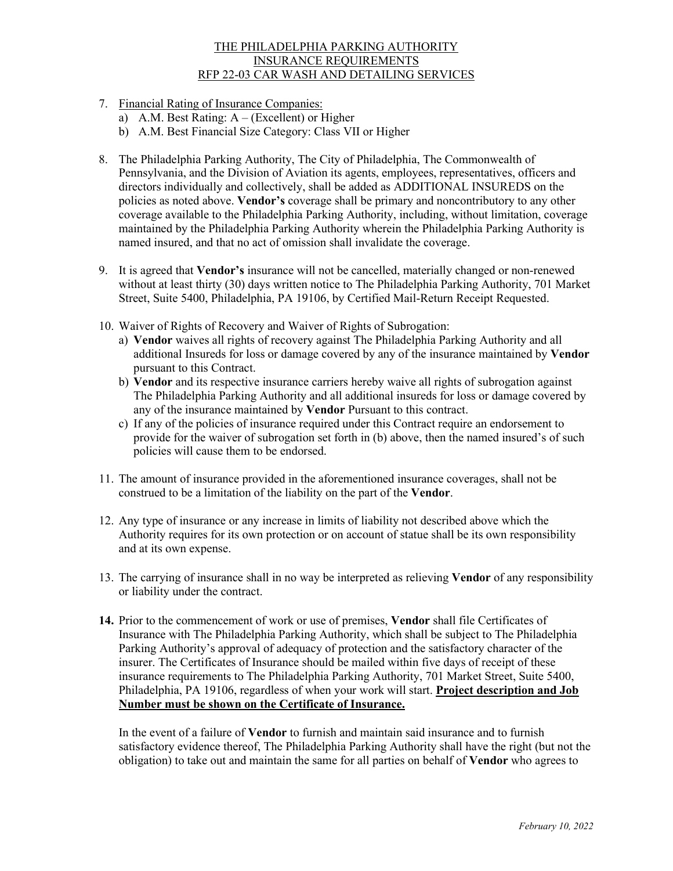### THE PHILADELPHIA PARKING AUTHORITY INSURANCE REQUIREMENTS RFP 22-03 CAR WASH AND DETAILING SERVICES

- 7. Financial Rating of Insurance Companies:
	- a) A.M. Best Rating: A (Excellent) or Higher
	- b) A.M. Best Financial Size Category: Class VII or Higher
- 8. The Philadelphia Parking Authority, The City of Philadelphia, The Commonwealth of Pennsylvania, and the Division of Aviation its agents, employees, representatives, officers and directors individually and collectively, shall be added as ADDITIONAL INSUREDS on the policies as noted above. **Vendor's** coverage shall be primary and noncontributory to any other coverage available to the Philadelphia Parking Authority, including, without limitation, coverage maintained by the Philadelphia Parking Authority wherein the Philadelphia Parking Authority is named insured, and that no act of omission shall invalidate the coverage.
- 9. It is agreed that **Vendor's** insurance will not be cancelled, materially changed or non-renewed without at least thirty (30) days written notice to The Philadelphia Parking Authority, 701 Market Street, Suite 5400, Philadelphia, PA 19106, by Certified Mail-Return Receipt Requested.
- 10. Waiver of Rights of Recovery and Waiver of Rights of Subrogation:
	- a) **Vendor** waives all rights of recovery against The Philadelphia Parking Authority and all additional Insureds for loss or damage covered by any of the insurance maintained by **Vendor**  pursuant to this Contract.
	- b) **Vendor** and its respective insurance carriers hereby waive all rights of subrogation against The Philadelphia Parking Authority and all additional insureds for loss or damage covered by any of the insurance maintained by **Vendor** Pursuant to this contract.
	- c) If any of the policies of insurance required under this Contract require an endorsement to provide for the waiver of subrogation set forth in (b) above, then the named insured's of such policies will cause them to be endorsed.
- 11. The amount of insurance provided in the aforementioned insurance coverages, shall not be construed to be a limitation of the liability on the part of the **Vendor**.
- 12. Any type of insurance or any increase in limits of liability not described above which the Authority requires for its own protection or on account of statue shall be its own responsibility and at its own expense.
- 13. The carrying of insurance shall in no way be interpreted as relieving **Vendor** of any responsibility or liability under the contract.
- **14.** Prior to the commencement of work or use of premises, **Vendor** shall file Certificates of Insurance with The Philadelphia Parking Authority, which shall be subject to The Philadelphia Parking Authority's approval of adequacy of protection and the satisfactory character of the insurer. The Certificates of Insurance should be mailed within five days of receipt of these insurance requirements to The Philadelphia Parking Authority, 701 Market Street, Suite 5400, Philadelphia, PA 19106, regardless of when your work will start. **Project description and Job Number must be shown on the Certificate of Insurance.**

In the event of a failure of **Vendor** to furnish and maintain said insurance and to furnish satisfactory evidence thereof, The Philadelphia Parking Authority shall have the right (but not the obligation) to take out and maintain the same for all parties on behalf of **Vendor** who agrees to